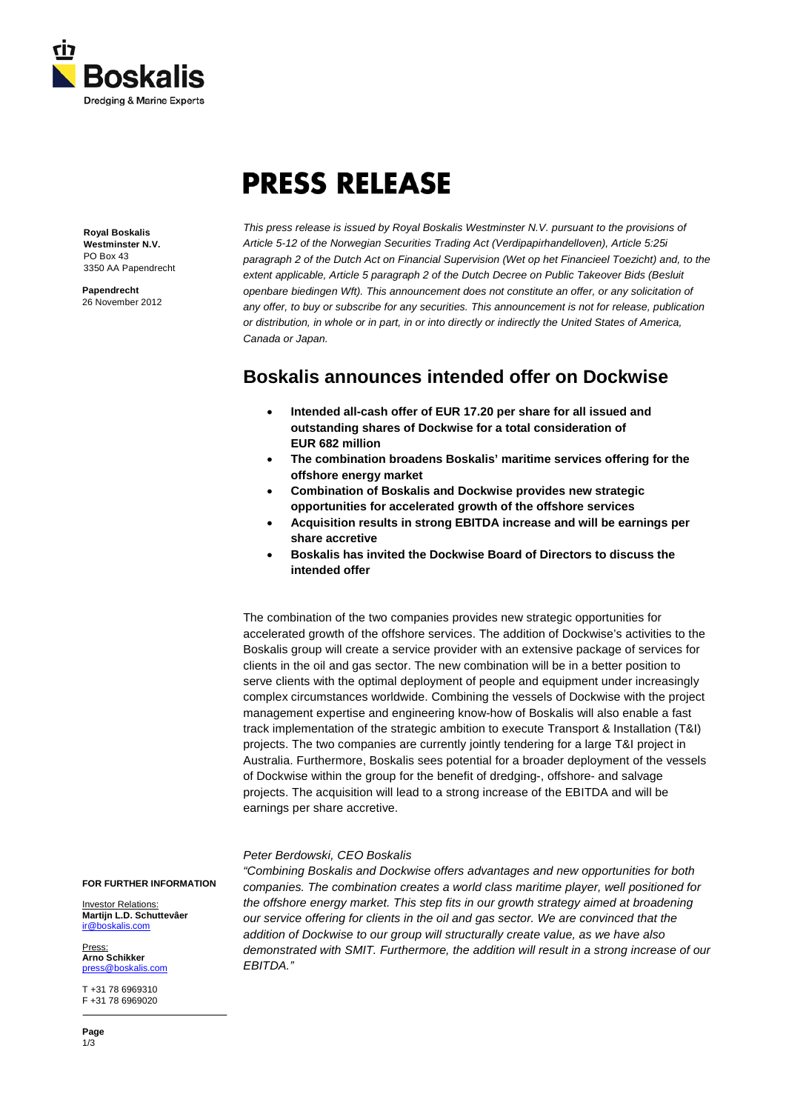

# **PRESS RELEASE**

**Royal Boskalis Westminster N.V.** PO Box 43 3350 AA Papendrecht

**Papendrecht** 26 November 2012 *This press release is issued by Royal Boskalis Westminster N.V. pursuant to the provisions of Article 5-12 of the Norwegian Securities Trading Act (Verdipapirhandelloven), Article 5:25i paragraph 2 of the Dutch Act on Financial Supervision (Wet op het Financieel Toezicht) and, to the extent applicable, Article 5 paragraph 2 of the Dutch Decree on Public Takeover Bids (Besluit openbare biedingen Wft). This announcement does not constitute an offer, or any solicitation of any offer, to buy or subscribe for any securities. This announcement is not for release, publication or distribution, in whole or in part, in or into directly or indirectly the United States of America, Canada or Japan.* 

# **Boskalis announces intended offer on Dockwise**

- **Intended all-cash offer of EUR 17.20 per share for all issued and outstanding shares of Dockwise for a total consideration of EUR 682 million**
- **The combination broadens Boskalis' maritime services offering for the offshore energy market**
- **Combination of Boskalis and Dockwise provides new strategic opportunities for accelerated growth of the offshore services**
- **Acquisition results in strong EBITDA increase and will be earnings per share accretive**
- **Boskalis has invited the Dockwise Board of Directors to discuss the intended offer**

The combination of the two companies provides new strategic opportunities for accelerated growth of the offshore services. The addition of Dockwise's activities to the Boskalis group will create a service provider with an extensive package of services for clients in the oil and gas sector. The new combination will be in a better position to serve clients with the optimal deployment of people and equipment under increasingly complex circumstances worldwide. Combining the vessels of Dockwise with the project management expertise and engineering know-how of Boskalis will also enable a fast track implementation of the strategic ambition to execute Transport & Installation (T&I) projects. The two companies are currently jointly tendering for a large T&I project in Australia. Furthermore, Boskalis sees potential for a broader deployment of the vessels of Dockwise within the group for the benefit of dredging-, offshore- and salvage projects. The acquisition will lead to a strong increase of the EBITDA and will be earnings per share accretive.

## *Peter Berdowski, CEO Boskalis*

*"Combining Boskalis and Dockwise offers advantages and new opportunities for both companies. The combination creates a world class maritime player, well positioned for the offshore energy market. This step fits in our growth strategy aimed at broadening our service offering for clients in the oil and gas sector. We are convinced that the addition of Dockwise to our group will structurally create value, as we have also demonstrated with SMIT. Furthermore, the addition will result in a strong increase of our EBITDA."*

**FOR FURTHER INFORMATION**

Investor Relations: **Martijn L.D. Schuttevâer** [ir@boskalis.com](mailto:ir@boskalis.com)

**Press Arno Schikker** [press@boskalis.com](mailto:press@boskalis.com)

T +31 78 6969310 F +31 78 6969020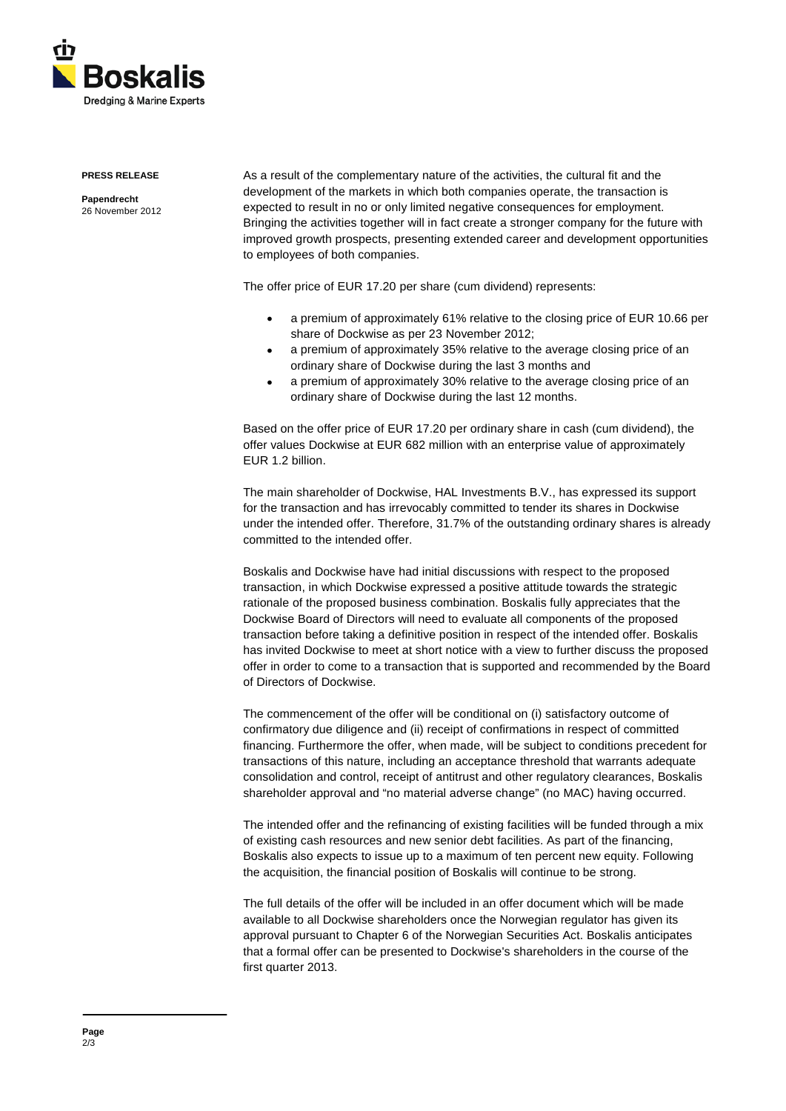

#### **PRESS RELEASE**

**Papendrecht** 26 November 2012 As a result of the complementary nature of the activities, the cultural fit and the development of the markets in which both companies operate, the transaction is expected to result in no or only limited negative consequences for employment. Bringing the activities together will in fact create a stronger company for the future with improved growth prospects, presenting extended career and development opportunities to employees of both companies.

The offer price of EUR 17.20 per share (cum dividend) represents:

- a premium of approximately 61% relative to the closing price of EUR 10.66 per share of Dockwise as per 23 November 2012;
- a premium of approximately 35% relative to the average closing price of an ordinary share of Dockwise during the last 3 months and
- a premium of approximately 30% relative to the average closing price of an ordinary share of Dockwise during the last 12 months.

Based on the offer price of EUR 17.20 per ordinary share in cash (cum dividend), the offer values Dockwise at EUR 682 million with an enterprise value of approximately EUR 1.2 billion.

The main shareholder of Dockwise, HAL Investments B.V., has expressed its support for the transaction and has irrevocably committed to tender its shares in Dockwise under the intended offer. Therefore, 31.7% of the outstanding ordinary shares is already committed to the intended offer.

Boskalis and Dockwise have had initial discussions with respect to the proposed transaction, in which Dockwise expressed a positive attitude towards the strategic rationale of the proposed business combination. Boskalis fully appreciates that the Dockwise Board of Directors will need to evaluate all components of the proposed transaction before taking a definitive position in respect of the intended offer. Boskalis has invited Dockwise to meet at short notice with a view to further discuss the proposed offer in order to come to a transaction that is supported and recommended by the Board of Directors of Dockwise.

The commencement of the offer will be conditional on (i) satisfactory outcome of confirmatory due diligence and (ii) receipt of confirmations in respect of committed financing. Furthermore the offer, when made, will be subject to conditions precedent for transactions of this nature, including an acceptance threshold that warrants adequate consolidation and control, receipt of antitrust and other regulatory clearances, Boskalis shareholder approval and "no material adverse change" (no MAC) having occurred.

The intended offer and the refinancing of existing facilities will be funded through a mix of existing cash resources and new senior debt facilities. As part of the financing, Boskalis also expects to issue up to a maximum of ten percent new equity. Following the acquisition, the financial position of Boskalis will continue to be strong.

The full details of the offer will be included in an offer document which will be made available to all Dockwise shareholders once the Norwegian regulator has given its approval pursuant to Chapter 6 of the Norwegian Securities Act. Boskalis anticipates that a formal offer can be presented to Dockwise's shareholders in the course of the first quarter 2013.